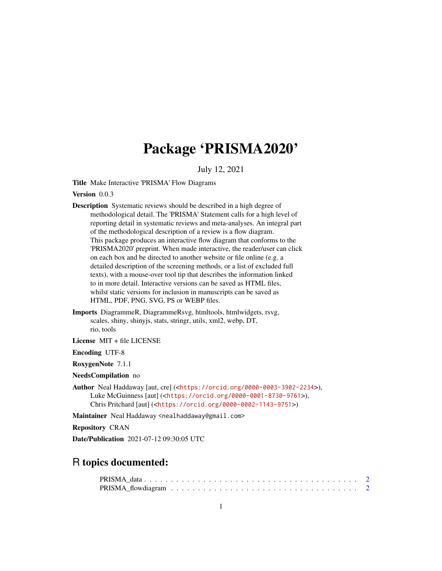## Package 'PRISMA2020'

July 12, 2021

<span id="page-0-0"></span>Title Make Interactive 'PRISMA' Flow Diagrams

Version 0.0.3

- Description Systematic reviews should be described in a high degree of methodological detail. The 'PRISMA' Statement calls for a high level of reporting detail in systematic reviews and meta-analyses. An integral part of the methodological description of a review is a flow diagram. This package produces an interactive flow diagram that conforms to the 'PRISMA2020' preprint. When made interactive, the reader/user can click on each box and be directed to another website or file online (e.g. a detailed description of the screening methods, or a list of excluded full texts), with a mouse-over tool tip that describes the information linked to in more detail. Interactive versions can be saved as HTML files, whilst static versions for inclusion in manuscripts can be saved as HTML, PDF, PNG, SVG, PS or WEBP files.
- Imports DiagrammeR, DiagrammeRsvg, htmltools, htmlwidgets, rsvg, scales, shiny, shinyjs, stats, stringr, utils, xml2, webp, DT, rio, tools

License MIT + file LICENSE

Encoding UTF-8

RoxygenNote 7.1.1

NeedsCompilation no

Author Neal Haddaway [aut, cre] (<<https://orcid.org/0000-0003-3902-2234>>), Luke McGuinness [aut] (<<https://orcid.org/0000-0001-8730-9761>>), Chris Pritchard [aut] (<<https://orcid.org/0000-0002-1143-9751>>)

Maintainer Neal Haddaway <nealhaddaway@gmail.com>

Repository CRAN

Date/Publication 2021-07-12 09:30:05 UTC

### R topics documented: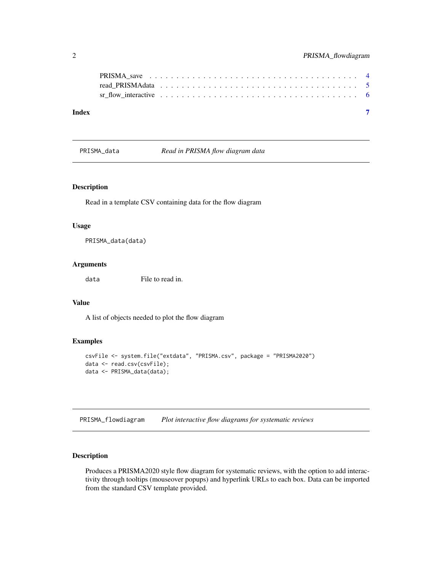<span id="page-1-0"></span>

| Index | $\overline{\phantom{a}}$ |  |
|-------|--------------------------|--|

<span id="page-1-1"></span>PRISMA\_data *Read in PRISMA flow diagram data*

#### Description

Read in a template CSV containing data for the flow diagram

#### Usage

PRISMA\_data(data)

#### Arguments

data File to read in.

#### Value

A list of objects needed to plot the flow diagram

#### Examples

```
csvFile <- system.file("extdata", "PRISMA.csv", package = "PRISMA2020")
data <- read.csv(csvFile);
data <- PRISMA_data(data);
```
<span id="page-1-2"></span>PRISMA\_flowdiagram *Plot interactive flow diagrams for systematic reviews*

#### Description

Produces a PRISMA2020 style flow diagram for systematic reviews, with the option to add interactivity through tooltips (mouseover popups) and hyperlink URLs to each box. Data can be imported from the standard CSV template provided.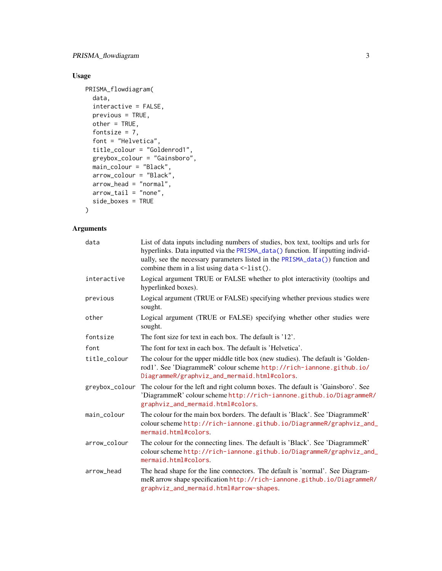#### <span id="page-2-0"></span>Usage

```
PRISMA_flowdiagram(
 data,
 interactive = FALSE,
 previous = TRUE,
 other = TRUE,
 fontsize = 7,
 font = "Helvetica",
 title_colour = "Goldenrod1",
 greybox_colour = "Gainsboro",
 main_colour = "Black",
 arrow_colour = "Black",
 arrow_head = "normal",
 arrow\_tail = "none",side_boxes = TRUE
)
```
#### Arguments

| data           | List of data inputs including numbers of studies, box text, tooltips and urls for<br>hyperlinks. Data inputted via the PRISMA_data() function. If inputting individ-<br>ually, see the necessary parameters listed in the PRISMA_data()) function and<br>combine them in a list using data <- list(). |
|----------------|-------------------------------------------------------------------------------------------------------------------------------------------------------------------------------------------------------------------------------------------------------------------------------------------------------|
| interactive    | Logical argument TRUE or FALSE whether to plot interactivity (tooltips and<br>hyperlinked boxes).                                                                                                                                                                                                     |
| previous       | Logical argument (TRUE or FALSE) specifying whether previous studies were<br>sought.                                                                                                                                                                                                                  |
| other          | Logical argument (TRUE or FALSE) specifying whether other studies were<br>sought.                                                                                                                                                                                                                     |
| fontsize       | The font size for text in each box. The default is '12'.                                                                                                                                                                                                                                              |
| font           | The font for text in each box. The default is 'Helvetica'.                                                                                                                                                                                                                                            |
| title_colour   | The colour for the upper middle title box (new studies). The default is 'Golden-<br>rod1'. See 'DiagrammeR' colour scheme http://rich-iannone.github.io/<br>DiagrammeR/graphviz_and_mermaid.html#colors.                                                                                              |
| greybox_colour | The colour for the left and right column boxes. The default is 'Gainsboro'. See<br>'DiagrammeR' colour scheme http://rich-iannone.github.io/DiagrammeR/<br>graphviz_and_mermaid.html#colors.                                                                                                          |
| main_colour    | The colour for the main box borders. The default is 'Black'. See 'DiagrammeR'<br>colour scheme http://rich-iannone.github.io/DiagrammeR/graphviz_and_<br>mermaid.html#colors.                                                                                                                         |
| arrow_colour   | The colour for the connecting lines. The default is 'Black'. See 'DiagrammeR'<br>colour scheme http://rich-iannone.github.io/DiagrammeR/graphviz_and_<br>mermaid.html#colors.                                                                                                                         |
| arrow_head     | The head shape for the line connectors. The default is 'normal'. See Diagram-<br>meR arrow shape specification http://rich-iannone.github.io/DiagrammeR/<br>graphviz_and_mermaid.html#arrow-shapes.                                                                                                   |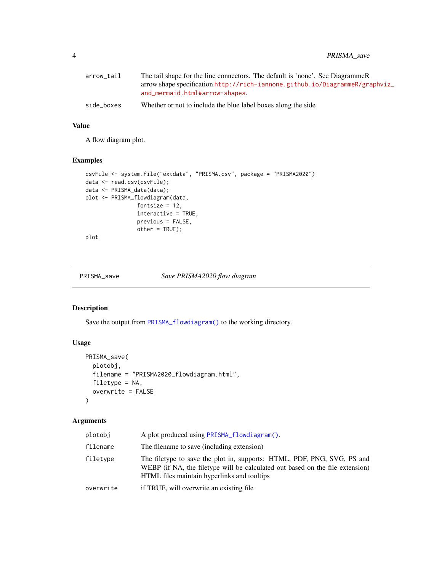<span id="page-3-0"></span>4 PRISMA\_save

| arrow_tail | The tail shape for the line connectors. The default is 'none'. See DiagrammeR |
|------------|-------------------------------------------------------------------------------|
|            | arrow shape specification http://rich-iannone.github.io/DiagrammeR/graphviz_  |
|            | and_mermaid.html#arrow-shapes.                                                |
| side_boxes | Whether or not to include the blue label boxes along the side                 |

#### Value

A flow diagram plot.

#### Examples

```
csvFile <- system.file("extdata", "PRISMA.csv", package = "PRISMA2020")
data <- read.csv(csvFile);
data <- PRISMA_data(data);
plot <- PRISMA_flowdiagram(data,
               fontsize = 12,
                interactive = TRUE,
                previous = FALSE,
                other = TRUE);
```
plot

PRISMA\_save *Save PRISMA2020 flow diagram*

#### Description

Save the output from [PRISMA\\_flowdiagram\(\)](#page-1-2) to the working directory.

#### Usage

```
PRISMA_save(
  plotobj,
  filename = "PRISMA2020_flowdiagram.html",
  filetype = NA,
  overwrite = FALSE
\mathcal{L}
```
#### Arguments

| plotobi   | A plot produced using PRISMA flowdiagram().                                                                                                                                                             |
|-----------|---------------------------------------------------------------------------------------------------------------------------------------------------------------------------------------------------------|
| filename  | The filename to save (including extension)                                                                                                                                                              |
| filetype  | The filetype to save the plot in, supports: HTML, PDF, PNG, SVG, PS and<br>WEBP (if NA, the filetype will be calculated out based on the file extension)<br>HTML files maintain hyperlinks and tooltips |
| overwrite | if TRUE, will overwrite an existing file                                                                                                                                                                |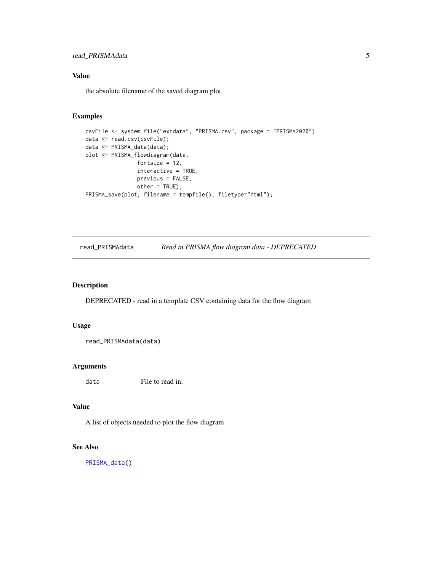#### <span id="page-4-0"></span>read\_PRISMAdata 5

#### Value

the absolute filename of the saved diagram plot.

#### Examples

```
csvFile <- system.file("extdata", "PRISMA.csv", package = "PRISMA2020")
data <- read.csv(csvFile);
data <- PRISMA_data(data);
plot <- PRISMA_flowdiagram(data,
                fontsize = 12,
                interactive = TRUE,
                previous = FALSE,
                other = TRUE);
PRISMA_save(plot, filename = tempfile(), filetype="html");
```
read\_PRISMAdata *Read in PRISMA flow diagram data - DEPRECATED*

#### Description

DEPRECATED - read in a template CSV containing data for the flow diagram

#### Usage

```
read_PRISMAdata(data)
```
#### Arguments

data File to read in.

#### Value

A list of objects needed to plot the flow diagram

#### See Also

[PRISMA\\_data\(\)](#page-1-1)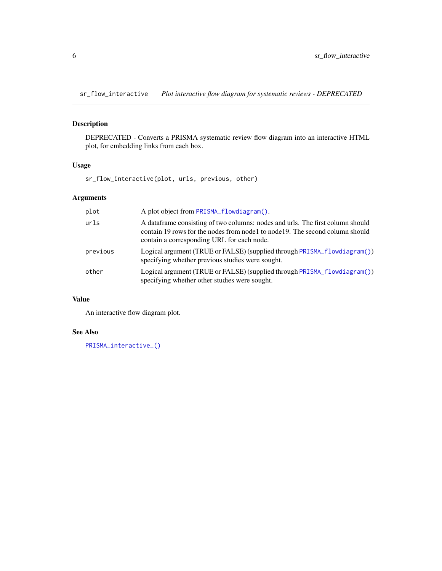<span id="page-5-0"></span>sr\_flow\_interactive *Plot interactive flow diagram for systematic reviews - DEPRECATED*

#### Description

DEPRECATED - Converts a PRISMA systematic review flow diagram into an interactive HTML plot, for embedding links from each box.

#### Usage

sr\_flow\_interactive(plot, urls, previous, other)

#### Arguments

| plot     | A plot object from PRISMA_flowdiagram().                                                                                                                                                                       |
|----------|----------------------------------------------------------------------------------------------------------------------------------------------------------------------------------------------------------------|
| urls     | A dataframe consisting of two columns: nodes and urls. The first column should<br>contain 19 rows for the nodes from node 1 to node 19. The second column should<br>contain a corresponding URL for each node. |
| previous | Logical argument (TRUE or FALSE) (supplied through PRISMA_flowdiagram())<br>specifying whether previous studies were sought.                                                                                   |
| other    | Logical argument (TRUE or FALSE) (supplied through PRISMA_flowdiagram())<br>specifying whether other studies were sought.                                                                                      |

#### Value

An interactive flow diagram plot.

#### See Also

[PRISMA\\_interactive\\_\(\)](#page-0-0)